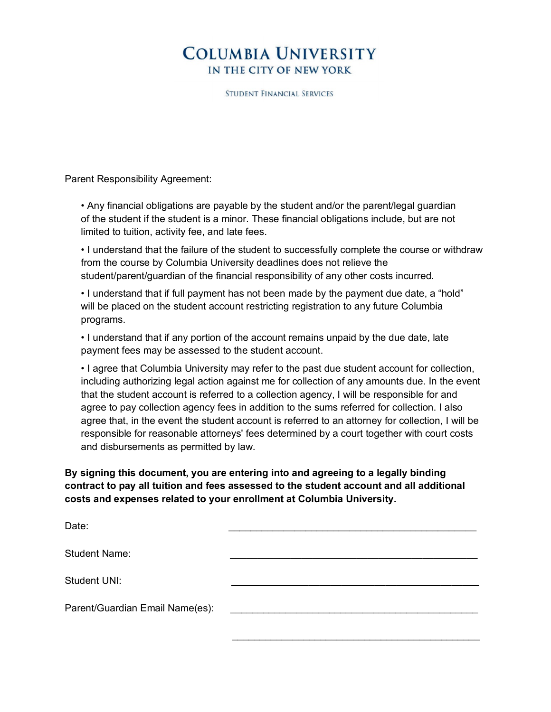## **COLUMBIA UNIVERSITY** IN THE CITY OF NEW YORK

**STUDENT FINANCIAL SERVICES** 

Parent Responsibility Agreement:

• Any financial obligations are payable by the student and/or the parent/legal guardian of the student if the student is a minor. These financial obligations include, but are not limited to tuition, activity fee, and late fees.

• I understand that the failure of the student to successfully complete the course or withdraw from the course by Columbia University deadlines does not relieve the student/parent/guardian of the financial responsibility of any other costs incurred.

• I understand that if full payment has not been made by the payment due date, a "hold" will be placed on the student account restricting registration to any future Columbia programs.

• I understand that if any portion of the account remains unpaid by the due date, late payment fees may be assessed to the student account.

• I agree that Columbia University may refer to the past due student account for collection, including authorizing legal action against me for collection of any amounts due. In the event that the student account is referred to a collection agency, I will be responsible for and agree to pay collection agency fees in addition to the sums referred for collection. I also agree that, in the event the student account is referred to an attorney for collection, I will be responsible for reasonable attorneys' fees determined by a court together with court costs and disbursements as permitted by law.

## **By signing this document, you are entering into and agreeing to a legally binding contract to pay all tuition and fees assessed to the student account and all additional costs and expenses related to your enrollment at Columbia University.**

| Date:                           |  |
|---------------------------------|--|
| <b>Student Name:</b>            |  |
| Student UNI:                    |  |
| Parent/Guardian Email Name(es): |  |
|                                 |  |

 $\overline{\phantom{a}}$  , which is a set of the set of the set of the set of the set of the set of the set of the set of the set of the set of the set of the set of the set of the set of the set of the set of the set of the set of th